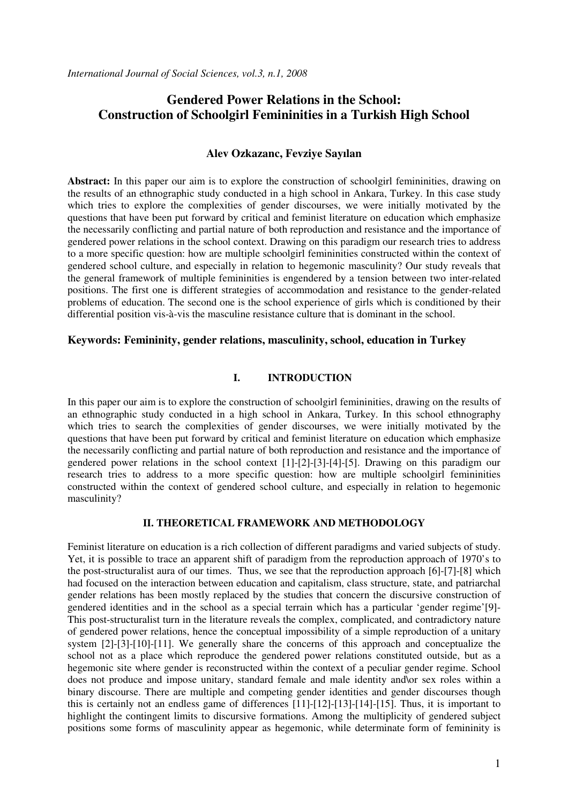# **Gendered Power Relations in the School: Construction of Schoolgirl Femininities in a Turkish High School**

## **Alev Ozkazanc, Fevziye Sayılan**

**Abstract:** In this paper our aim is to explore the construction of schoolgirl femininities, drawing on the results of an ethnographic study conducted in a high school in Ankara, Turkey. In this case study which tries to explore the complexities of gender discourses, we were initially motivated by the questions that have been put forward by critical and feminist literature on education which emphasize the necessarily conflicting and partial nature of both reproduction and resistance and the importance of gendered power relations in the school context. Drawing on this paradigm our research tries to address to a more specific question: how are multiple schoolgirl femininities constructed within the context of gendered school culture, and especially in relation to hegemonic masculinity? Our study reveals that the general framework of multiple femininities is engendered by a tension between two inter-related positions. The first one is different strategies of accommodation and resistance to the gender-related problems of education. The second one is the school experience of girls which is conditioned by their differential position vis-à-vis the masculine resistance culture that is dominant in the school.

### **Keywords: Femininity, gender relations, masculinity, school, education in Turkey**

#### **I. INTRODUCTION**

In this paper our aim is to explore the construction of schoolgirl femininities, drawing on the results of an ethnographic study conducted in a high school in Ankara, Turkey. In this school ethnography which tries to search the complexities of gender discourses, we were initially motivated by the questions that have been put forward by critical and feminist literature on education which emphasize the necessarily conflicting and partial nature of both reproduction and resistance and the importance of gendered power relations in the school context [1]-[2]-[3]-[4]-[5]. Drawing on this paradigm our research tries to address to a more specific question: how are multiple schoolgirl femininities constructed within the context of gendered school culture, and especially in relation to hegemonic masculinity?

#### **II. THEORETICAL FRAMEWORK AND METHODOLOGY**

Feminist literature on education is a rich collection of different paradigms and varied subjects of study. Yet, it is possible to trace an apparent shift of paradigm from the reproduction approach of 1970's to the post-structuralist aura of our times. Thus, we see that the reproduction approach [6]-[7]-[8] which had focused on the interaction between education and capitalism, class structure, state, and patriarchal gender relations has been mostly replaced by the studies that concern the discursive construction of gendered identities and in the school as a special terrain which has a particular 'gender regime'[9]- This post-structuralist turn in the literature reveals the complex, complicated, and contradictory nature of gendered power relations, hence the conceptual impossibility of a simple reproduction of a unitary system [2]-[3]-[10]-[11]. We generally share the concerns of this approach and conceptualize the school not as a place which reproduce the gendered power relations constituted outside, but as a hegemonic site where gender is reconstructed within the context of a peculiar gender regime. School does not produce and impose unitary, standard female and male identity and\or sex roles within a binary discourse. There are multiple and competing gender identities and gender discourses though this is certainly not an endless game of differences [11]-[12]-[13]-[14]-[15]. Thus, it is important to highlight the contingent limits to discursive formations. Among the multiplicity of gendered subject positions some forms of masculinity appear as hegemonic, while determinate form of femininity is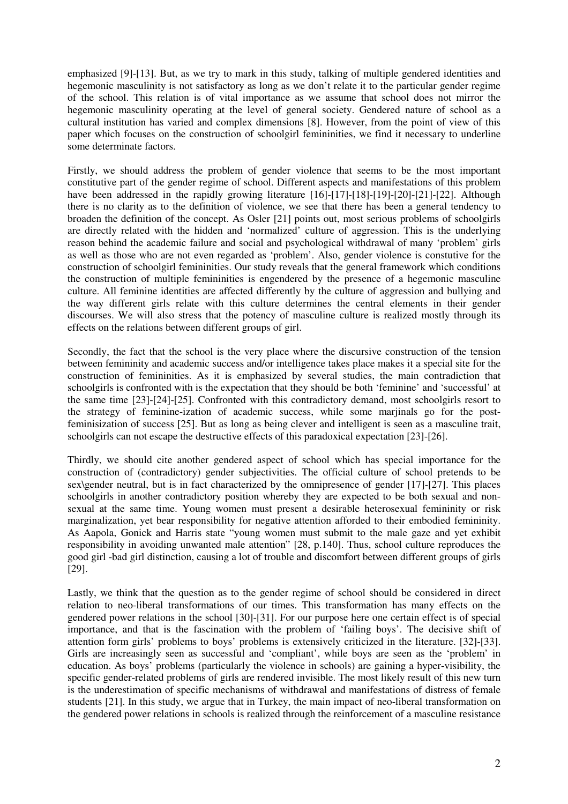emphasized [9]-[13]. But, as we try to mark in this study, talking of multiple gendered identities and hegemonic masculinity is not satisfactory as long as we don't relate it to the particular gender regime of the school. This relation is of vital importance as we assume that school does not mirror the hegemonic masculinity operating at the level of general society. Gendered nature of school as a cultural institution has varied and complex dimensions [8]. However, from the point of view of this paper which focuses on the construction of schoolgirl femininities, we find it necessary to underline some determinate factors.

Firstly, we should address the problem of gender violence that seems to be the most important constitutive part of the gender regime of school. Different aspects and manifestations of this problem have been addressed in the rapidly growing literature [16]-[17]-[18]-[19]-[20]-[21]-[22]. Although there is no clarity as to the definition of violence, we see that there has been a general tendency to broaden the definition of the concept. As Osler [21] points out, most serious problems of schoolgirls are directly related with the hidden and 'normalized' culture of aggression. This is the underlying reason behind the academic failure and social and psychological withdrawal of many 'problem' girls as well as those who are not even regarded as 'problem'. Also, gender violence is constutive for the construction of schoolgirl femininities. Our study reveals that the general framework which conditions the construction of multiple femininities is engendered by the presence of a hegemonic masculine culture. All feminine identities are affected differently by the culture of aggression and bullying and the way different girls relate with this culture determines the central elements in their gender discourses. We will also stress that the potency of masculine culture is realized mostly through its effects on the relations between different groups of girl.

Secondly, the fact that the school is the very place where the discursive construction of the tension between femininity and academic success and/or intelligence takes place makes it a special site for the construction of femininities. As it is emphasized by several studies, the main contradiction that schoolgirls is confronted with is the expectation that they should be both 'feminine' and 'successful' at the same time [23]-[24]-[25]. Confronted with this contradictory demand, most schoolgirls resort to the strategy of feminine-ization of academic success, while some marjinals go for the postfeminisization of success [25]. But as long as being clever and intelligent is seen as a masculine trait, schoolgirls can not escape the destructive effects of this paradoxical expectation [23]-[26].

Thirdly, we should cite another gendered aspect of school which has special importance for the construction of (contradictory) gender subjectivities. The official culture of school pretends to be sex\gender neutral, but is in fact characterized by the omnipresence of gender [17]-[27]. This places schoolgirls in another contradictory position whereby they are expected to be both sexual and nonsexual at the same time. Young women must present a desirable heterosexual femininity or risk marginalization, yet bear responsibility for negative attention afforded to their embodied femininity. As Aapola, Gonick and Harris state "young women must submit to the male gaze and yet exhibit responsibility in avoiding unwanted male attention" [28, p.140]. Thus, school culture reproduces the good girl -bad girl distinction, causing a lot of trouble and discomfort between different groups of girls [29].

Lastly, we think that the question as to the gender regime of school should be considered in direct relation to neo-liberal transformations of our times. This transformation has many effects on the gendered power relations in the school [30]-[31]. For our purpose here one certain effect is of special importance, and that is the fascination with the problem of 'failing boys'. The decisive shift of attention form girls' problems to boys' problems is extensively criticized in the literature. [32]-[33]. Girls are increasingly seen as successful and 'compliant', while boys are seen as the 'problem' in education. As boys' problems (particularly the violence in schools) are gaining a hyper-visibility, the specific gender-related problems of girls are rendered invisible. The most likely result of this new turn is the underestimation of specific mechanisms of withdrawal and manifestations of distress of female students [21]. In this study, we argue that in Turkey, the main impact of neo-liberal transformation on the gendered power relations in schools is realized through the reinforcement of a masculine resistance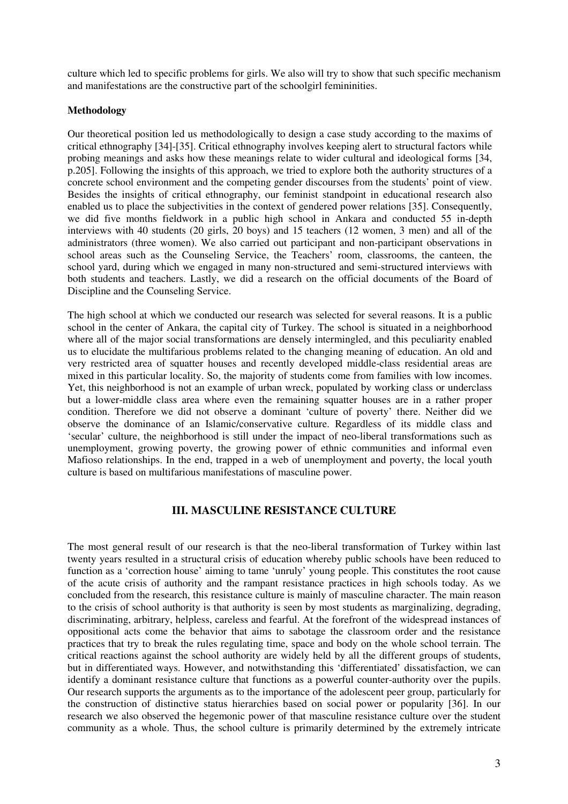culture which led to specific problems for girls. We also will try to show that such specific mechanism and manifestations are the constructive part of the schoolgirl femininities.

### **Methodology**

Our theoretical position led us methodologically to design a case study according to the maxims of critical ethnography [34]-[35]. Critical ethnography involves keeping alert to structural factors while probing meanings and asks how these meanings relate to wider cultural and ideological forms [34, p.205]. Following the insights of this approach, we tried to explore both the authority structures of a concrete school environment and the competing gender discourses from the students' point of view. Besides the insights of critical ethnography, our feminist standpoint in educational research also enabled us to place the subjectivities in the context of gendered power relations [35]. Consequently, we did five months fieldwork in a public high school in Ankara and conducted 55 in-depth interviews with 40 students (20 girls, 20 boys) and 15 teachers (12 women, 3 men) and all of the administrators (three women). We also carried out participant and non-participant observations in school areas such as the Counseling Service, the Teachers' room, classrooms, the canteen, the school yard, during which we engaged in many non-structured and semi-structured interviews with both students and teachers. Lastly, we did a research on the official documents of the Board of Discipline and the Counseling Service.

The high school at which we conducted our research was selected for several reasons. It is a public school in the center of Ankara, the capital city of Turkey. The school is situated in a neighborhood where all of the major social transformations are densely intermingled, and this peculiarity enabled us to elucidate the multifarious problems related to the changing meaning of education. An old and very restricted area of squatter houses and recently developed middle-class residential areas are mixed in this particular locality. So, the majority of students come from families with low incomes. Yet, this neighborhood is not an example of urban wreck, populated by working class or underclass but a lower-middle class area where even the remaining squatter houses are in a rather proper condition. Therefore we did not observe a dominant 'culture of poverty' there. Neither did we observe the dominance of an Islamic/conservative culture. Regardless of its middle class and 'secular' culture, the neighborhood is still under the impact of neo-liberal transformations such as unemployment, growing poverty, the growing power of ethnic communities and informal even Mafioso relationships. In the end, trapped in a web of unemployment and poverty, the local youth culture is based on multifarious manifestations of masculine power.

# **III. MASCULINE RESISTANCE CULTURE**

The most general result of our research is that the neo-liberal transformation of Turkey within last twenty years resulted in a structural crisis of education whereby public schools have been reduced to function as a 'correction house' aiming to tame 'unruly' young people. This constitutes the root cause of the acute crisis of authority and the rampant resistance practices in high schools today. As we concluded from the research, this resistance culture is mainly of masculine character. The main reason to the crisis of school authority is that authority is seen by most students as marginalizing, degrading, discriminating, arbitrary, helpless, careless and fearful. At the forefront of the widespread instances of oppositional acts come the behavior that aims to sabotage the classroom order and the resistance practices that try to break the rules regulating time, space and body on the whole school terrain. The critical reactions against the school authority are widely held by all the different groups of students, but in differentiated ways. However, and notwithstanding this 'differentiated' dissatisfaction, we can identify a dominant resistance culture that functions as a powerful counter-authority over the pupils. Our research supports the arguments as to the importance of the adolescent peer group, particularly for the construction of distinctive status hierarchies based on social power or popularity [36]. In our research we also observed the hegemonic power of that masculine resistance culture over the student community as a whole. Thus, the school culture is primarily determined by the extremely intricate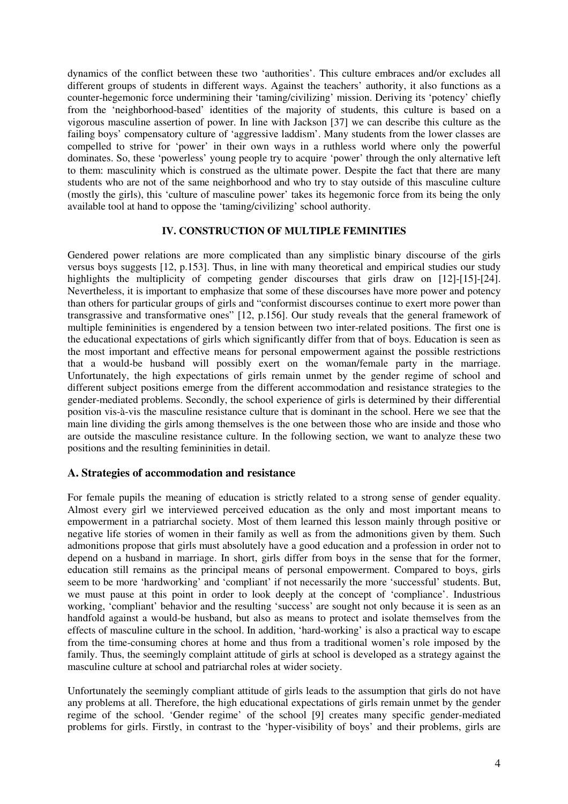dynamics of the conflict between these two 'authorities'. This culture embraces and/or excludes all different groups of students in different ways. Against the teachers' authority, it also functions as a counter-hegemonic force undermining their 'taming/civilizing' mission. Deriving its 'potency' chiefly from the 'neighborhood-based' identities of the majority of students, this culture is based on a vigorous masculine assertion of power. In line with Jackson [37] we can describe this culture as the failing boys' compensatory culture of 'aggressive laddism'. Many students from the lower classes are compelled to strive for 'power' in their own ways in a ruthless world where only the powerful dominates. So, these 'powerless' young people try to acquire 'power' through the only alternative left to them: masculinity which is construed as the ultimate power. Despite the fact that there are many students who are not of the same neighborhood and who try to stay outside of this masculine culture (mostly the girls), this 'culture of masculine power' takes its hegemonic force from its being the only available tool at hand to oppose the 'taming/civilizing' school authority.

### **IV. CONSTRUCTION OF MULTIPLE FEMINITIES**

Gendered power relations are more complicated than any simplistic binary discourse of the girls versus boys suggests [12, p.153]. Thus, in line with many theoretical and empirical studies our study highlights the multiplicity of competing gender discourses that girls draw on [12]-[15]-[24]. Nevertheless, it is important to emphasize that some of these discourses have more power and potency than others for particular groups of girls and "conformist discourses continue to exert more power than transgrassive and transformative ones" [12, p.156]. Our study reveals that the general framework of multiple femininities is engendered by a tension between two inter-related positions. The first one is the educational expectations of girls which significantly differ from that of boys. Education is seen as the most important and effective means for personal empowerment against the possible restrictions that a would-be husband will possibly exert on the woman/female party in the marriage. Unfortunately, the high expectations of girls remain unmet by the gender regime of school and different subject positions emerge from the different accommodation and resistance strategies to the gender-mediated problems. Secondly, the school experience of girls is determined by their differential position vis-à-vis the masculine resistance culture that is dominant in the school. Here we see that the main line dividing the girls among themselves is the one between those who are inside and those who are outside the masculine resistance culture. In the following section, we want to analyze these two positions and the resulting femininities in detail.

# **A. Strategies of accommodation and resistance**

For female pupils the meaning of education is strictly related to a strong sense of gender equality. Almost every girl we interviewed perceived education as the only and most important means to empowerment in a patriarchal society. Most of them learned this lesson mainly through positive or negative life stories of women in their family as well as from the admonitions given by them. Such admonitions propose that girls must absolutely have a good education and a profession in order not to depend on a husband in marriage. In short, girls differ from boys in the sense that for the former, education still remains as the principal means of personal empowerment. Compared to boys, girls seem to be more 'hardworking' and 'compliant' if not necessarily the more 'successful' students. But, we must pause at this point in order to look deeply at the concept of 'compliance'. Industrious working, 'compliant' behavior and the resulting 'success' are sought not only because it is seen as an handfold against a would-be husband, but also as means to protect and isolate themselves from the effects of masculine culture in the school. In addition, 'hard-working' is also a practical way to escape from the time-consuming chores at home and thus from a traditional women's role imposed by the family. Thus, the seemingly complaint attitude of girls at school is developed as a strategy against the masculine culture at school and patriarchal roles at wider society.

Unfortunately the seemingly compliant attitude of girls leads to the assumption that girls do not have any problems at all. Therefore, the high educational expectations of girls remain unmet by the gender regime of the school. 'Gender regime' of the school [9] creates many specific gender-mediated problems for girls. Firstly, in contrast to the 'hyper-visibility of boys' and their problems, girls are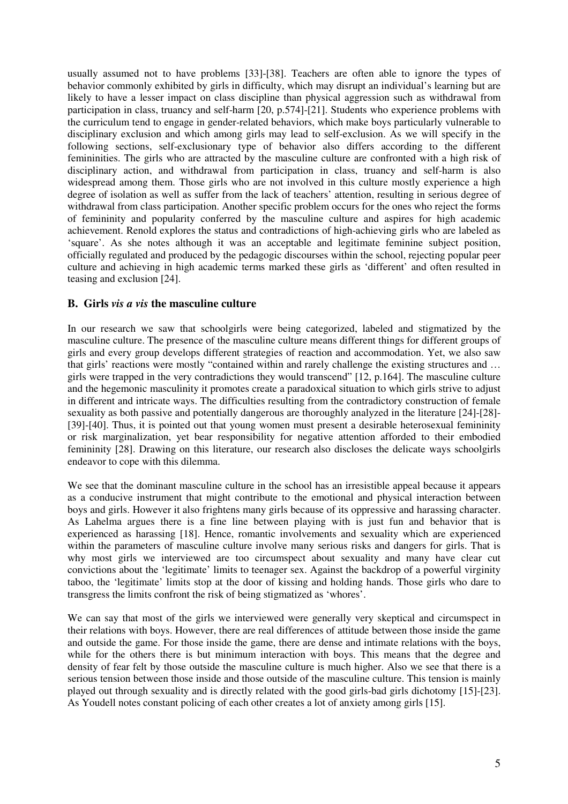usually assumed not to have problems [33]-[38]. Teachers are often able to ignore the types of behavior commonly exhibited by girls in difficulty, which may disrupt an individual's learning but are likely to have a lesser impact on class discipline than physical aggression such as withdrawal from participation in class, truancy and self-harm [20, p.574]-[21]. Students who experience problems with the curriculum tend to engage in gender-related behaviors, which make boys particularly vulnerable to disciplinary exclusion and which among girls may lead to self-exclusion. As we will specify in the following sections, self-exclusionary type of behavior also differs according to the different femininities. The girls who are attracted by the masculine culture are confronted with a high risk of disciplinary action, and withdrawal from participation in class, truancy and self-harm is also widespread among them. Those girls who are not involved in this culture mostly experience a high degree of isolation as well as suffer from the lack of teachers' attention, resulting in serious degree of withdrawal from class participation. Another specific problem occurs for the ones who reject the forms of femininity and popularity conferred by the masculine culture and aspires for high academic achievement. Renold explores the status and contradictions of high-achieving girls who are labeled as 'square'. As she notes although it was an acceptable and legitimate feminine subject position, officially regulated and produced by the pedagogic discourses within the school, rejecting popular peer culture and achieving in high academic terms marked these girls as 'different' and often resulted in teasing and exclusion [24].

### **B. Girls** *vis a vis* **the masculine culture**

In our research we saw that schoolgirls were being categorized, labeled and stigmatized by the masculine culture. The presence of the masculine culture means different things for different groups of girls and every group develops different strategies of reaction and accommodation. Yet, we also saw that girls' reactions were mostly "contained within and rarely challenge the existing structures and … girls were trapped in the very contradictions they would transcend" [12, p.164]. The masculine culture and the hegemonic masculinity it promotes create a paradoxical situation to which girls strive to adjust in different and intricate ways. The difficulties resulting from the contradictory construction of female sexuality as both passive and potentially dangerous are thoroughly analyzed in the literature [24]-[28]- [39]-[40]. Thus, it is pointed out that young women must present a desirable heterosexual femininity or risk marginalization, yet bear responsibility for negative attention afforded to their embodied femininity [28]. Drawing on this literature, our research also discloses the delicate ways schoolgirls endeavor to cope with this dilemma.

We see that the dominant masculine culture in the school has an irresistible appeal because it appears as a conducive instrument that might contribute to the emotional and physical interaction between boys and girls. However it also frightens many girls because of its oppressive and harassing character. As Lahelma argues there is a fine line between playing with is just fun and behavior that is experienced as harassing [18]. Hence, romantic involvements and sexuality which are experienced within the parameters of masculine culture involve many serious risks and dangers for girls. That is why most girls we interviewed are too circumspect about sexuality and many have clear cut convictions about the 'legitimate' limits to teenager sex. Against the backdrop of a powerful virginity taboo, the 'legitimate' limits stop at the door of kissing and holding hands. Those girls who dare to transgress the limits confront the risk of being stigmatized as 'whores'.

We can say that most of the girls we interviewed were generally very skeptical and circumspect in their relations with boys. However, there are real differences of attitude between those inside the game and outside the game. For those inside the game, there are dense and intimate relations with the boys, while for the others there is but minimum interaction with boys. This means that the degree and density of fear felt by those outside the masculine culture is much higher. Also we see that there is a serious tension between those inside and those outside of the masculine culture. This tension is mainly played out through sexuality and is directly related with the good girls-bad girls dichotomy [15]-[23]. As Youdell notes constant policing of each other creates a lot of anxiety among girls [15].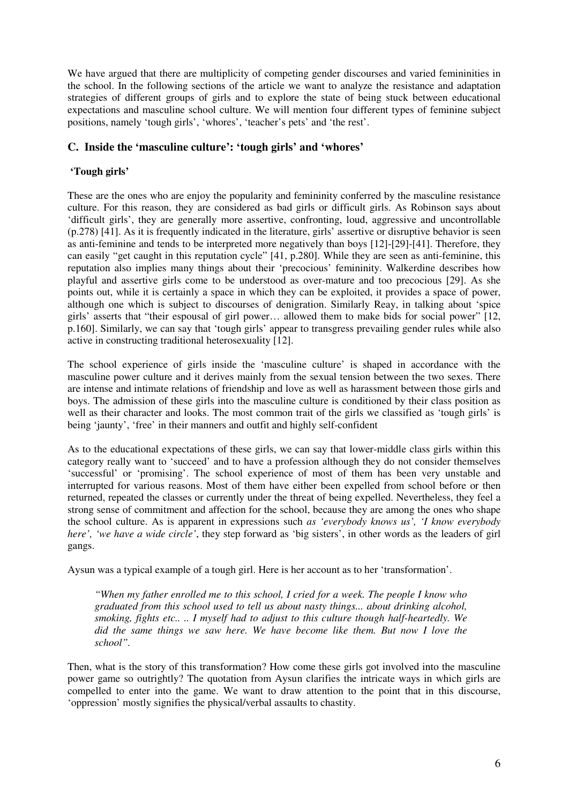We have argued that there are multiplicity of competing gender discourses and varied femininities in the school. In the following sections of the article we want to analyze the resistance and adaptation strategies of different groups of girls and to explore the state of being stuck between educational expectations and masculine school culture. We will mention four different types of feminine subject positions, namely 'tough girls', 'whores', 'teacher's pets' and 'the rest'.

# **C. Inside the 'masculine culture': 'tough girls' and 'whores'**

# **'Tough girls'**

These are the ones who are enjoy the popularity and femininity conferred by the masculine resistance culture. For this reason, they are considered as bad girls or difficult girls. As Robinson says about 'difficult girls', they are generally more assertive, confronting, loud, aggressive and uncontrollable (p.278) [41]. As it is frequently indicated in the literature, girls' assertive or disruptive behavior is seen as anti-feminine and tends to be interpreted more negatively than boys [12]-[29]-[41]. Therefore, they can easily "get caught in this reputation cycle" [41, p.280]. While they are seen as anti-feminine, this reputation also implies many things about their 'precocious' femininity. Walkerdine describes how playful and assertive girls come to be understood as over-mature and too precocious [29]. As she points out, while it is certainly a space in which they can be exploited, it provides a space of power, although one which is subject to discourses of denigration. Similarly Reay, in talking about 'spice girls' asserts that "their espousal of girl power… allowed them to make bids for social power" [12, p.160]. Similarly, we can say that 'tough girls' appear to transgress prevailing gender rules while also active in constructing traditional heterosexuality [12].

The school experience of girls inside the 'masculine culture' is shaped in accordance with the masculine power culture and it derives mainly from the sexual tension between the two sexes. There are intense and intimate relations of friendship and love as well as harassment between those girls and boys. The admission of these girls into the masculine culture is conditioned by their class position as well as their character and looks. The most common trait of the girls we classified as 'tough girls' is being 'jaunty', 'free' in their manners and outfit and highly self-confident

As to the educational expectations of these girls, we can say that lower-middle class girls within this category really want to 'succeed' and to have a profession although they do not consider themselves 'successful' or 'promising'. The school experience of most of them has been very unstable and interrupted for various reasons. Most of them have either been expelled from school before or then returned, repeated the classes or currently under the threat of being expelled. Nevertheless, they feel a strong sense of commitment and affection for the school, because they are among the ones who shape the school culture. As is apparent in expressions such *as 'everybody knows us', 'I know everybody here', 'we have a wide circle'*, they step forward as 'big sisters', in other words as the leaders of girl gangs.

Aysun was a typical example of a tough girl. Here is her account as to her 'transformation'.

*"When my father enrolled me to this school, I cried for a week. The people I know who graduated from this school used to tell us about nasty things... about drinking alcohol, smoking, fights etc.. .. I myself had to adjust to this culture though half-heartedly. We did the same things we saw here. We have become like them. But now I love the school".* 

Then, what is the story of this transformation? How come these girls got involved into the masculine power game so outrightly? The quotation from Aysun clarifies the intricate ways in which girls are compelled to enter into the game. We want to draw attention to the point that in this discourse, 'oppression' mostly signifies the physical/verbal assaults to chastity.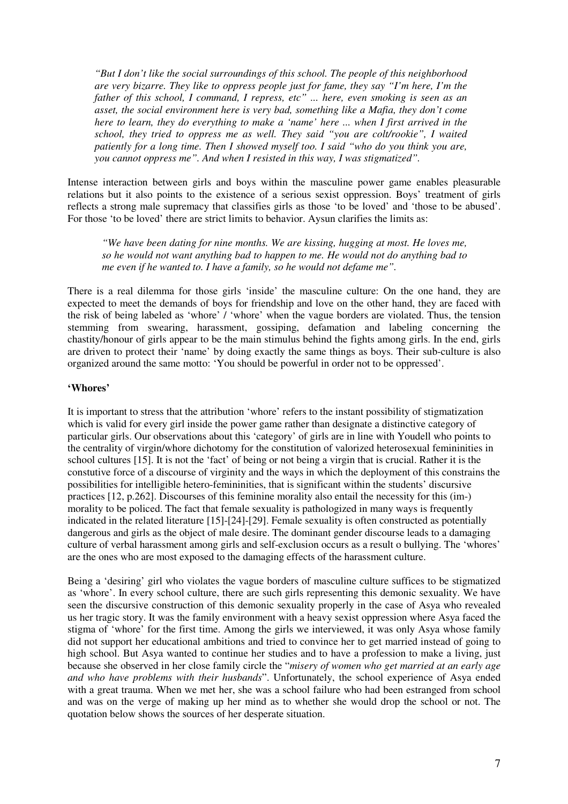*"But I don't like the social surroundings of this school. The people of this neighborhood are very bizarre. They like to oppress people just for fame, they say "I'm here, I'm the father of this school, I command, I repress, etc" ... here, even smoking is seen as an asset, the social environment here is very bad, something like a Mafia, they don't come here to learn, they do everything to make a 'name' here ... when I first arrived in the school, they tried to oppress me as well. They said "you are colt/rookie", I waited patiently for a long time. Then I showed myself too. I said "who do you think you are, you cannot oppress me". And when I resisted in this way, I was stigmatized".* 

Intense interaction between girls and boys within the masculine power game enables pleasurable relations but it also points to the existence of a serious sexist oppression. Boys' treatment of girls reflects a strong male supremacy that classifies girls as those 'to be loved' and 'those to be abused'. For those 'to be loved' there are strict limits to behavior. Aysun clarifies the limits as:

*"We have been dating for nine months. We are kissing, hugging at most. He loves me, so he would not want anything bad to happen to me. He would not do anything bad to me even if he wanted to. I have a family, so he would not defame me".*

There is a real dilemma for those girls 'inside' the masculine culture: On the one hand, they are expected to meet the demands of boys for friendship and love on the other hand, they are faced with the risk of being labeled as 'whore' / 'whore' when the vague borders are violated. Thus, the tension stemming from swearing, harassment, gossiping, defamation and labeling concerning the chastity/honour of girls appear to be the main stimulus behind the fights among girls. In the end, girls are driven to protect their 'name' by doing exactly the same things as boys. Their sub-culture is also organized around the same motto: 'You should be powerful in order not to be oppressed'.

#### **'Whores'**

It is important to stress that the attribution 'whore' refers to the instant possibility of stigmatization which is valid for every girl inside the power game rather than designate a distinctive category of particular girls. Our observations about this 'category' of girls are in line with Youdell who points to the centrality of virgin/whore dichotomy for the constitution of valorized heterosexual femininities in school cultures [15]. It is not the 'fact' of being or not being a virgin that is crucial. Rather it is the constutive force of a discourse of virginity and the ways in which the deployment of this constrains the possibilities for intelligible hetero-femininities, that is significant within the students' discursive practices [12, p.262]. Discourses of this feminine morality also entail the necessity for this (im-) morality to be policed. The fact that female sexuality is pathologized in many ways is frequently indicated in the related literature [15]-[24]-[29]. Female sexuality is often constructed as potentially dangerous and girls as the object of male desire. The dominant gender discourse leads to a damaging culture of verbal harassment among girls and self-exclusion occurs as a result o bullying. The 'whores' are the ones who are most exposed to the damaging effects of the harassment culture.

Being a 'desiring' girl who violates the vague borders of masculine culture suffices to be stigmatized as 'whore'. In every school culture, there are such girls representing this demonic sexuality. We have seen the discursive construction of this demonic sexuality properly in the case of Asya who revealed us her tragic story. It was the family environment with a heavy sexist oppression where Asya faced the stigma of 'whore' for the first time. Among the girls we interviewed, it was only Asya whose family did not support her educational ambitions and tried to convince her to get married instead of going to high school. But Asya wanted to continue her studies and to have a profession to make a living, just because she observed in her close family circle the "*misery of women who get married at an early age and who have problems with their husbands*". Unfortunately, the school experience of Asya ended with a great trauma. When we met her, she was a school failure who had been estranged from school and was on the verge of making up her mind as to whether she would drop the school or not. The quotation below shows the sources of her desperate situation.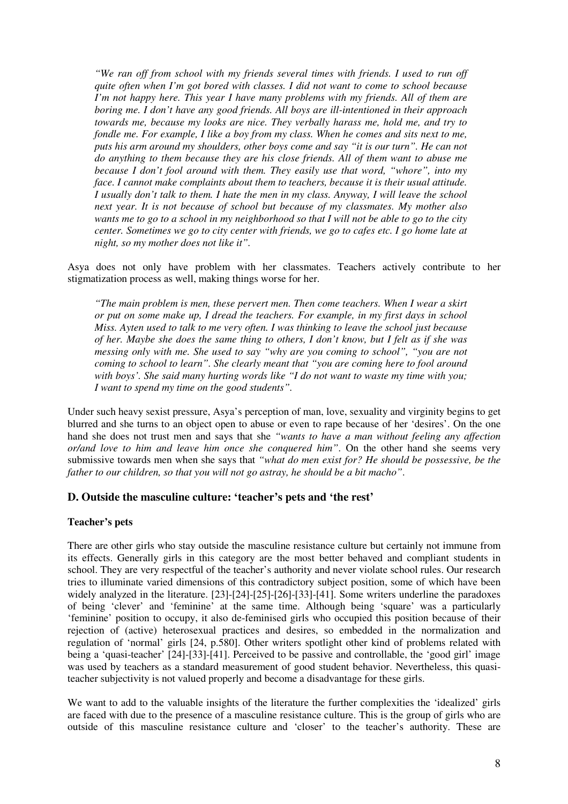*"We ran off from school with my friends several times with friends. I used to run off quite often when I'm got bored with classes. I did not want to come to school because I'm not happy here. This year I have many problems with my friends. All of them are boring me. I don't have any good friends. All boys are ill-intentioned in their approach towards me, because my looks are nice. They verbally harass me, hold me, and try to fondle me. For example, I like a boy from my class. When he comes and sits next to me, puts his arm around my shoulders, other boys come and say "it is our turn". He can not do anything to them because they are his close friends. All of them want to abuse me because I don't fool around with them. They easily use that word, "whore", into my face. I cannot make complaints about them to teachers, because it is their usual attitude. I usually don't talk to them. I hate the men in my class. Anyway, I will leave the school next year. It is not because of school but because of my classmates. My mother also wants me to go to a school in my neighborhood so that I will not be able to go to the city center. Sometimes we go to city center with friends, we go to cafes etc. I go home late at night, so my mother does not like it".* 

Asya does not only have problem with her classmates. Teachers actively contribute to her stigmatization process as well, making things worse for her.

*"The main problem is men, these pervert men. Then come teachers. When I wear a skirt or put on some make up, I dread the teachers. For example, in my first days in school Miss. Ayten used to talk to me very often. I was thinking to leave the school just because of her. Maybe she does the same thing to others, I don't know, but I felt as if she was messing only with me. She used to say "why are you coming to school", "you are not coming to school to learn". She clearly meant that "you are coming here to fool around with boys'. She said many hurting words like "I do not want to waste my time with you; I want to spend my time on the good students".* 

Under such heavy sexist pressure, Asya's perception of man, love, sexuality and virginity begins to get blurred and she turns to an object open to abuse or even to rape because of her 'desires'. On the one hand she does not trust men and says that she *"wants to have a man without feeling any affection or/and love to him and leave him once she conquered him"*. On the other hand she seems very submissive towards men when she says that *"what do men exist for? He should be possessive, be the father to our children, so that you will not go astray, he should be a bit macho"*.

### **D. Outside the masculine culture: 'teacher's pets and 'the rest'**

### **Teacher's pets**

There are other girls who stay outside the masculine resistance culture but certainly not immune from its effects. Generally girls in this category are the most better behaved and compliant students in school. They are very respectful of the teacher's authority and never violate school rules. Our research tries to illuminate varied dimensions of this contradictory subject position, some of which have been widely analyzed in the literature. [23]-[24]-[25]-[26]-[33]-[41]. Some writers underline the paradoxes of being 'clever' and 'feminine' at the same time. Although being 'square' was a particularly 'feminine' position to occupy, it also de-feminised girls who occupied this position because of their rejection of (active) heterosexual practices and desires, so embedded in the normalization and regulation of 'normal' girls [24, p.580]. Other writers spotlight other kind of problems related with being a 'quasi-teacher' [24]-[33]-[41]. Perceived to be passive and controllable, the 'good girl' image was used by teachers as a standard measurement of good student behavior. Nevertheless, this quasiteacher subjectivity is not valued properly and become a disadvantage for these girls.

We want to add to the valuable insights of the literature the further complexities the 'idealized' girls are faced with due to the presence of a masculine resistance culture. This is the group of girls who are outside of this masculine resistance culture and 'closer' to the teacher's authority. These are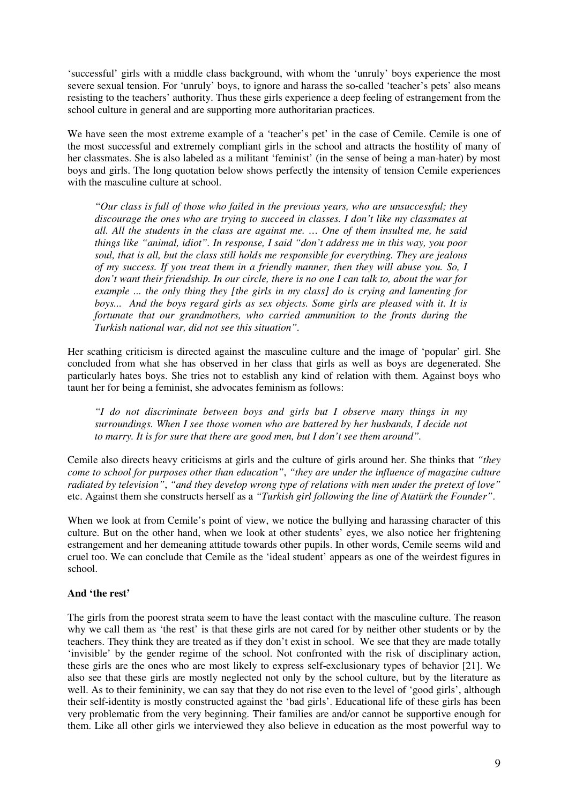'successful' girls with a middle class background, with whom the 'unruly' boys experience the most severe sexual tension. For 'unruly' boys, to ignore and harass the so-called 'teacher's pets' also means resisting to the teachers' authority. Thus these girls experience a deep feeling of estrangement from the school culture in general and are supporting more authoritarian practices.

We have seen the most extreme example of a 'teacher's pet' in the case of Cemile. Cemile is one of the most successful and extremely compliant girls in the school and attracts the hostility of many of her classmates. She is also labeled as a militant 'feminist' (in the sense of being a man-hater) by most boys and girls. The long quotation below shows perfectly the intensity of tension Cemile experiences with the masculine culture at school.

*"Our class is full of those who failed in the previous years, who are unsuccessful; they discourage the ones who are trying to succeed in classes. I don't like my classmates at all. All the students in the class are against me. … One of them insulted me, he said things like "animal, idiot". In response, I said "don't address me in this way, you poor soul, that is all, but the class still holds me responsible for everything. They are jealous of my success. If you treat them in a friendly manner, then they will abuse you. So, I don't want their friendship. In our circle, there is no one I can talk to, about the war for example ... the only thing they [the girls in my class] do is crying and lamenting for boys... And the boys regard girls as sex objects. Some girls are pleased with it. It is fortunate that our grandmothers, who carried ammunition to the fronts during the Turkish national war, did not see this situation".* 

Her scathing criticism is directed against the masculine culture and the image of 'popular' girl. She concluded from what she has observed in her class that girls as well as boys are degenerated. She particularly hates boys. She tries not to establish any kind of relation with them. Against boys who taunt her for being a feminist, she advocates feminism as follows:

*"I do not discriminate between boys and girls but I observe many things in my surroundings. When I see those women who are battered by her husbands, I decide not to marry. It is for sure that there are good men, but I don't see them around".* 

Cemile also directs heavy criticisms at girls and the culture of girls around her. She thinks that *"they come to school for purposes other than education"*, *"they are under the influence of magazine culture radiated by television"*, *"and they develop wrong type of relations with men under the pretext of love"* etc. Against them she constructs herself as a *"Turkish girl following the line of Atatürk the Founder"*.

When we look at from Cemile's point of view, we notice the bullying and harassing character of this culture. But on the other hand, when we look at other students' eyes, we also notice her frightening estrangement and her demeaning attitude towards other pupils. In other words, Cemile seems wild and cruel too. We can conclude that Cemile as the 'ideal student' appears as one of the weirdest figures in school.

### **And 'the rest'**

The girls from the poorest strata seem to have the least contact with the masculine culture. The reason why we call them as 'the rest' is that these girls are not cared for by neither other students or by the teachers. They think they are treated as if they don't exist in school. We see that they are made totally 'invisible' by the gender regime of the school. Not confronted with the risk of disciplinary action, these girls are the ones who are most likely to express self-exclusionary types of behavior [21]. We also see that these girls are mostly neglected not only by the school culture, but by the literature as well. As to their femininity, we can say that they do not rise even to the level of 'good girls', although their self-identity is mostly constructed against the 'bad girls'. Educational life of these girls has been very problematic from the very beginning. Their families are and/or cannot be supportive enough for them. Like all other girls we interviewed they also believe in education as the most powerful way to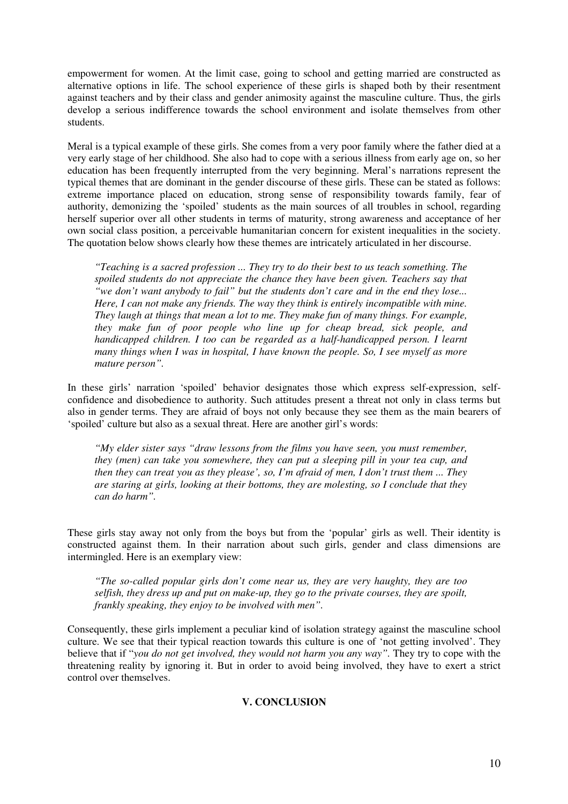empowerment for women. At the limit case, going to school and getting married are constructed as alternative options in life. The school experience of these girls is shaped both by their resentment against teachers and by their class and gender animosity against the masculine culture. Thus, the girls develop a serious indifference towards the school environment and isolate themselves from other students.

Meral is a typical example of these girls. She comes from a very poor family where the father died at a very early stage of her childhood. She also had to cope with a serious illness from early age on, so her education has been frequently interrupted from the very beginning. Meral's narrations represent the typical themes that are dominant in the gender discourse of these girls. These can be stated as follows: extreme importance placed on education, strong sense of responsibility towards family, fear of authority, demonizing the 'spoiled' students as the main sources of all troubles in school, regarding herself superior over all other students in terms of maturity, strong awareness and acceptance of her own social class position, a perceivable humanitarian concern for existent inequalities in the society. The quotation below shows clearly how these themes are intricately articulated in her discourse.

*"Teaching is a sacred profession ... They try to do their best to us teach something. The spoiled students do not appreciate the chance they have been given. Teachers say that "we don't want anybody to fail" but the students don't care and in the end they lose... Here, I can not make any friends. The way they think is entirely incompatible with mine. They laugh at things that mean a lot to me. They make fun of many things. For example, they make fun of poor people who line up for cheap bread, sick people, and handicapped children. I too can be regarded as a half-handicapped person. I learnt many things when I was in hospital, I have known the people. So, I see myself as more mature person".* 

In these girls' narration 'spoiled' behavior designates those which express self-expression, selfconfidence and disobedience to authority. Such attitudes present a threat not only in class terms but also in gender terms. They are afraid of boys not only because they see them as the main bearers of 'spoiled' culture but also as a sexual threat. Here are another girl's words:

*"My elder sister says "draw lessons from the films you have seen, you must remember, they (men) can take you somewhere, they can put a sleeping pill in your tea cup, and then they can treat you as they please', so, I'm afraid of men, I don't trust them ... They are staring at girls, looking at their bottoms, they are molesting, so I conclude that they can do harm".* 

These girls stay away not only from the boys but from the 'popular' girls as well. Their identity is constructed against them. In their narration about such girls, gender and class dimensions are intermingled. Here is an exemplary view:

*"The so-called popular girls don't come near us, they are very haughty, they are too selfish, they dress up and put on make-up, they go to the private courses, they are spoilt, frankly speaking, they enjoy to be involved with men".* 

Consequently, these girls implement a peculiar kind of isolation strategy against the masculine school culture. We see that their typical reaction towards this culture is one of 'not getting involved'. They believe that if "*you do not get involved, they would not harm you any way".* They try to cope with the threatening reality by ignoring it. But in order to avoid being involved, they have to exert a strict control over themselves.

# **V. CONCLUSION**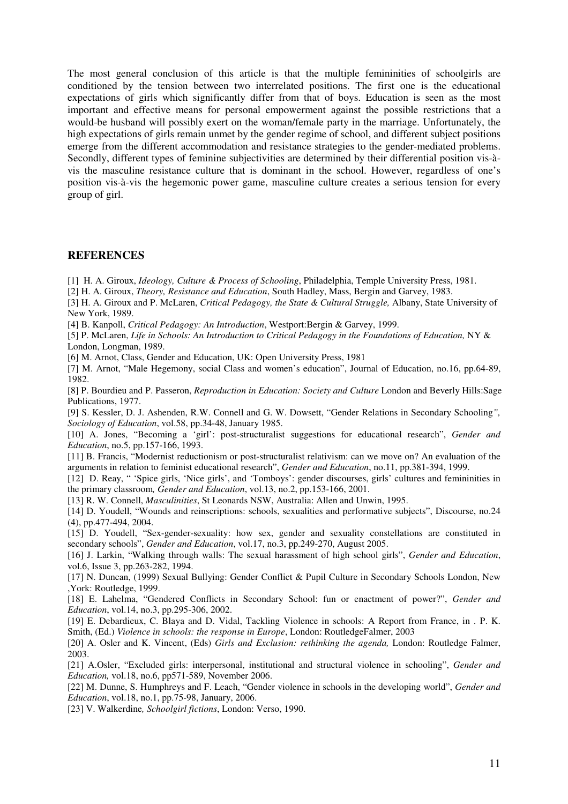The most general conclusion of this article is that the multiple femininities of schoolgirls are conditioned by the tension between two interrelated positions. The first one is the educational expectations of girls which significantly differ from that of boys. Education is seen as the most important and effective means for personal empowerment against the possible restrictions that a would-be husband will possibly exert on the woman/female party in the marriage. Unfortunately, the high expectations of girls remain unmet by the gender regime of school, and different subject positions emerge from the different accommodation and resistance strategies to the gender-mediated problems. Secondly, different types of feminine subjectivities are determined by their differential position vis-àvis the masculine resistance culture that is dominant in the school. However, regardless of one's position vis-à-vis the hegemonic power game, masculine culture creates a serious tension for every group of girl.

### **REFERENCES**

[1] H. A. Giroux, *Ideology, Culture & Process of Schooling*, Philadelphia, Temple University Press, 1981.

[2] H. A. Giroux, *Theory, Resistance and Education*, South Hadley, Mass, Bergin and Garvey, 1983.

[3] H. A. Giroux and P. McLaren, *Critical Pedagogy, the State & Cultural Struggle,* Albany, State University of New York, 1989.

[4] B. Kanpoll, *Critical Pedagogy: An Introduction*, Westport:Bergin & Garvey, 1999.

[5] P. McLaren, *Life in Schools: An Introduction to Critical Pedagogy in the Foundations of Education,* NY & London, Longman, 1989.

[6] M. Arnot, Class, Gender and Education, UK: Open University Press, 1981

[7] M. Arnot, "Male Hegemony, social Class and women's education", Journal of Education, no.16, pp.64-89, 1982.

[8] P. Bourdieu and P. Passeron, *Reproduction in Education: Society and Culture* London and Beverly Hills:Sage Publications, 1977.

[9] S. Kessler, D. J. Ashenden, R.W. Connell and G. W. Dowsett, "Gender Relations in Secondary Schooling*", Sociology of Education*, vol.58, pp.34-48, January 1985.

[10] A. Jones, "Becoming a 'girl': post-structuralist suggestions for educational research", *Gender and Education*, no.5, pp.157-166, 1993.

[11] B. Francis, "Modernist reductionism or post-structuralist relativism: can we move on? An evaluation of the arguments in relation to feminist educational research", *Gender and Education*, no.11, pp.381-394, 1999.

[12] D. Reay, " 'Spice girls, 'Nice girls', and 'Tomboys': gender discourses, girls' cultures and femininities in the primary classroom*, Gender and Education*, vol.13, no.2, pp.153-166, 2001.

[13] R. W. Connell, *Masculinities*, St Leonards NSW, Australia: Allen and Unwin, 1995.

[14] D. Youdell, "Wounds and reinscriptions: schools, sexualities and performative subjects", Discourse, no.24 (4), pp.477-494, 2004.

[15] D. Youdell, "Sex-gender-sexuality: how sex, gender and sexuality constellations are constituted in secondary schools", *Gender and Education*, vol.17, no.3, pp.249-270, August 2005.

[16] J. Larkin, "Walking through walls: The sexual harassment of high school girls", *Gender and Education*, vol.6, Issue 3, pp.263-282, 1994.

[17] N. Duncan, (1999) Sexual Bullying: Gender Conflict & Pupil Culture in Secondary Schools London, New ,York: Routledge, 1999.

[18] E. Lahelma, "Gendered Conflicts in Secondary School: fun or enactment of power?", *Gender and Education*, vol.14, no.3, pp.295-306, 2002.

[19] E. Debardieux, C. Blaya and D. Vidal, Tackling Violence in schools: A Report from France, in . P. K. Smith, (Ed.) *Violence in schools: the response in Europe*, London: RoutledgeFalmer, 2003

[20] A. Osler and K. Vincent, (Eds) *Girls and Exclusion: rethinking the agenda,* London: Routledge Falmer, 2003.

[21] A.Osler, "Excluded girls: interpersonal, institutional and structural violence in schooling", *Gender and Education,* vol.18, no.6, pp571-589, November 2006.

[22] M. Dunne, S. Humphreys and F. Leach, "Gender violence in schools in the developing world", *Gender and Education*, vol.18, no.1, pp.75-98, January, 2006.

[23] V. Walkerdine*, Schoolgirl fictions*, London: Verso, 1990.